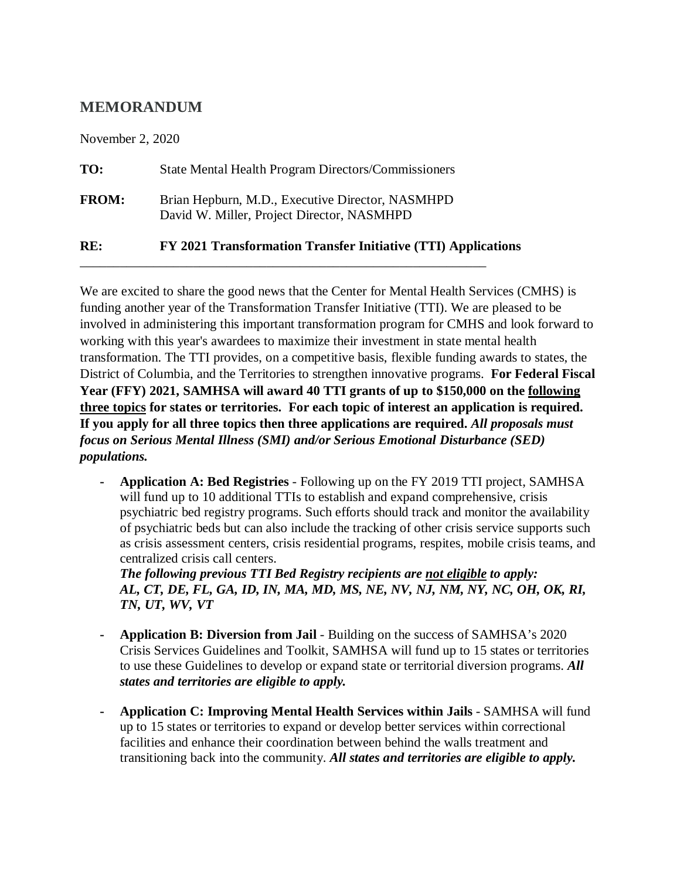## **MEMORANDUM**

November 2, 2020

| RE:          | FY 2021 Transformation Transfer Initiative (TTI) Applications                                  |
|--------------|------------------------------------------------------------------------------------------------|
| <b>FROM:</b> | Brian Hepburn, M.D., Executive Director, NASMHPD<br>David W. Miller, Project Director, NASMHPD |
| TO:          | <b>State Mental Health Program Directors/Commissioners</b>                                     |

\_\_\_\_\_\_\_\_\_\_\_\_\_\_\_\_\_\_\_\_\_\_\_\_\_\_\_\_\_\_\_\_\_\_\_\_\_\_\_\_\_\_\_\_\_\_\_\_\_\_\_\_\_\_\_\_\_\_\_\_\_

We are excited to share the good news that the Center for Mental Health Services (CMHS) is funding another year of the Transformation Transfer Initiative (TTI). We are pleased to be involved in administering this important transformation program for CMHS and look forward to working with this year's awardees to maximize their investment in state mental health transformation. The TTI provides, on a competitive basis, flexible funding awards to states, the District of Columbia, and the Territories to strengthen innovative programs. **For Federal Fiscal Year (FFY) 2021, SAMHSA will award 40 TTI grants of up to \$150,000 on the following three topics for states or territories. For each topic of interest an application is required. If you apply for all three topics then three applications are required.** *All proposals must focus on Serious Mental Illness (SMI) and/or Serious Emotional Disturbance (SED) populations.*

**- Application A: Bed Registries** - Following up on the FY 2019 TTI project, SAMHSA will fund up to 10 additional TTIs to establish and expand comprehensive, crisis psychiatric bed registry programs. Such efforts should track and monitor the availability of psychiatric beds but can also include the tracking of other crisis service supports such as crisis assessment centers, crisis residential programs, respites, mobile crisis teams, and centralized crisis call centers.

*The following previous TTI Bed Registry recipients are not eligible to apply: AL, CT, DE, FL, GA, ID, IN, MA, MD, MS, NE, NV, NJ, NM, NY, NC, OH, OK, RI, TN, UT, WV, VT*

- **- Application B: Diversion from Jail** Building on the success of SAMHSA's 2020 Crisis Services Guidelines and Toolkit, SAMHSA will fund up to 15 states or territories to use these Guidelines to develop or expand state or territorial diversion programs. *All states and territories are eligible to apply.*
- **- Application C: Improving Mental Health Services within Jails** SAMHSA will fund up to 15 states or territories to expand or develop better services within correctional facilities and enhance their coordination between behind the walls treatment and transitioning back into the community. *All states and territories are eligible to apply.*